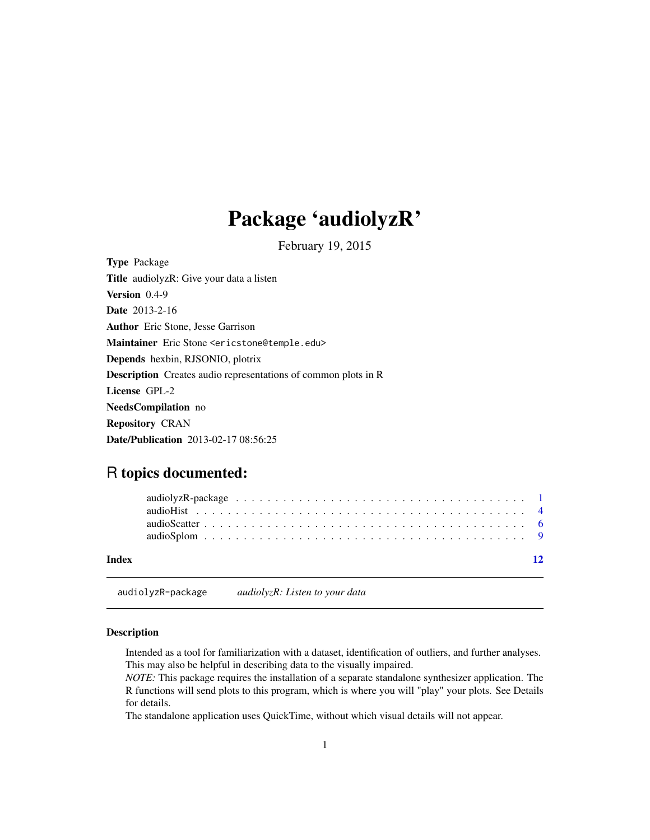## <span id="page-0-0"></span>Package 'audiolyzR'

February 19, 2015

<span id="page-0-1"></span>Type Package Title audiolyzR: Give your data a listen Version 0.4-9 Date 2013-2-16 Author Eric Stone, Jesse Garrison Maintainer Eric Stone <ericstone@temple.edu> Depends hexbin, RJSONIO, plotrix Description Creates audio representations of common plots in R License GPL-2 NeedsCompilation no Repository CRAN Date/Publication 2013-02-17 08:56:25

## R topics documented:

|  |  |  |  |  |  |  |  |  |  |  |  |  |  |  |  | $\overline{12}$ |
|--|--|--|--|--|--|--|--|--|--|--|--|--|--|--|--|-----------------|
|  |  |  |  |  |  |  |  |  |  |  |  |  |  |  |  |                 |
|  |  |  |  |  |  |  |  |  |  |  |  |  |  |  |  |                 |
|  |  |  |  |  |  |  |  |  |  |  |  |  |  |  |  |                 |

audiolyzR-package *audiolyzR: Listen to your data*

## Description

Intended as a tool for familiarization with a dataset, identification of outliers, and further analyses. This may also be helpful in describing data to the visually impaired.

*NOTE:* This package requires the installation of a separate standalone synthesizer application. The R functions will send plots to this program, which is where you will "play" your plots. See Details for details.

The standalone application uses QuickTime, without which visual details will not appear.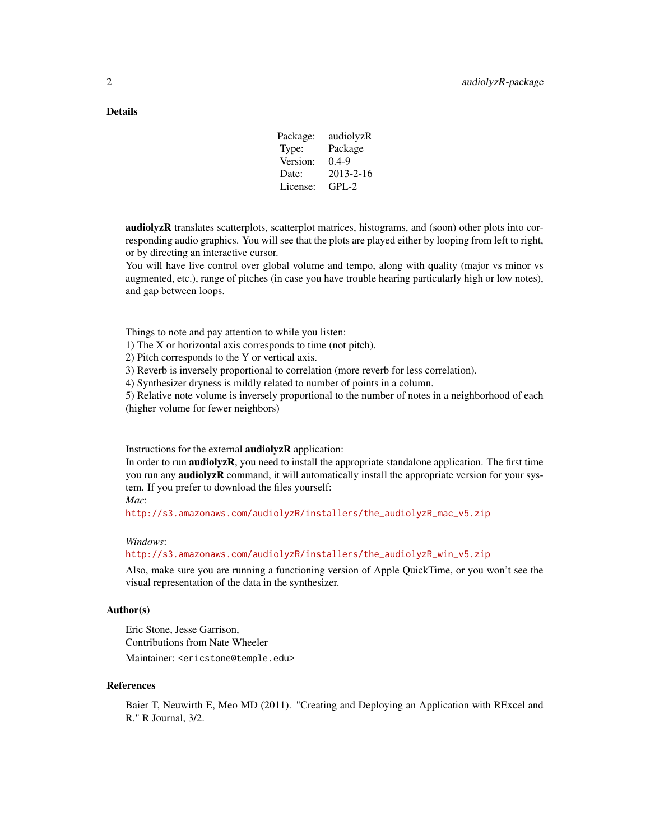## **Details**

| Package: | audiolyzR       |
|----------|-----------------|
| Type:    | Package         |
| Version: | $0.4 - 9$       |
| Date:    | $2013 - 2 - 16$ |
| License: | $GPI - 2$       |

audiolyzR translates scatterplots, scatterplot matrices, histograms, and (soon) other plots into corresponding audio graphics. You will see that the plots are played either by looping from left to right, or by directing an interactive cursor.

You will have live control over global volume and tempo, along with quality (major vs minor vs augmented, etc.), range of pitches (in case you have trouble hearing particularly high or low notes), and gap between loops.

Things to note and pay attention to while you listen:

1) The X or horizontal axis corresponds to time (not pitch).

2) Pitch corresponds to the Y or vertical axis.

3) Reverb is inversely proportional to correlation (more reverb for less correlation).

4) Synthesizer dryness is mildly related to number of points in a column.

5) Relative note volume is inversely proportional to the number of notes in a neighborhood of each (higher volume for fewer neighbors)

Instructions for the external **audiolyzR** application:

In order to run **audiolyzR**, you need to install the appropriate standalone application. The first time you run any **audiolyzR** command, it will automatically install the appropriate version for your system. If you prefer to download the files yourself:

*Mac*:

[http://s3.amazonaws.com/audiolyzR/installers/the\\_audiolyzR\\_mac\\_v5.zip](http://s3.amazonaws.com/audiolyzR/installers/the_audiolyzR_mac_v5.zip)

## *Windows*:

[http://s3.amazonaws.com/audiolyzR/installers/the\\_audiolyzR\\_win\\_v5.zip](http://s3.amazonaws.com/audiolyzR/installers/the_audiolyzR_win_v5.zip)

Also, make sure you are running a functioning version of Apple QuickTime, or you won't see the visual representation of the data in the synthesizer.

#### Author(s)

Eric Stone, Jesse Garrison, Contributions from Nate Wheeler Maintainer: <ericstone@temple.edu>

#### References

Baier T, Neuwirth E, Meo MD (2011). "Creating and Deploying an Application with RExcel and R." R Journal, 3/2.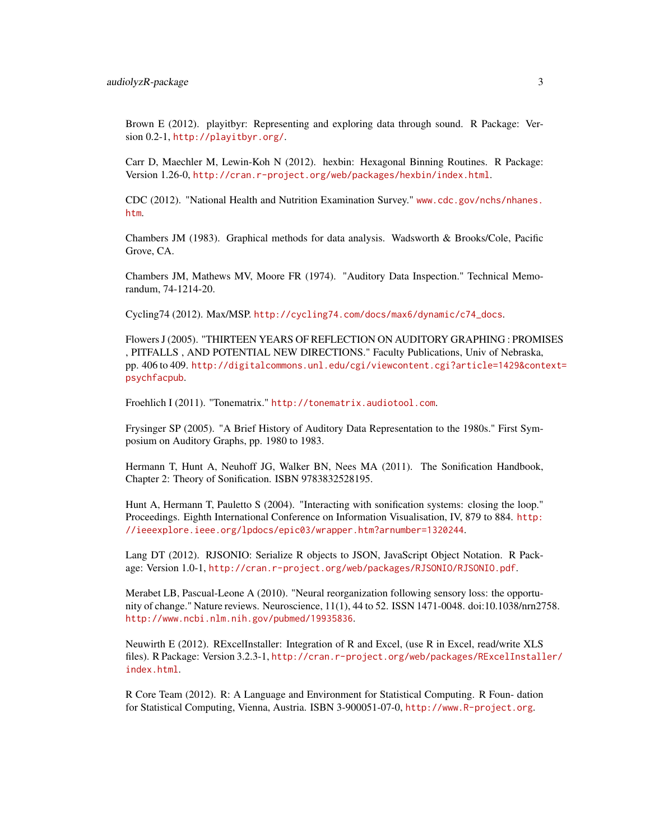Brown E (2012). playitbyr: Representing and exploring data through sound. R Package: Version 0.2-1, <http://playitbyr.org/>.

Carr D, Maechler M, Lewin-Koh N (2012). hexbin: Hexagonal Binning Routines. R Package: Version 1.26-0, <http://cran.r-project.org/web/packages/hexbin/index.html>.

CDC (2012). "National Health and Nutrition Examination Survey." [www.cdc.gov/nchs/nhanes.](www.cdc.gov/nchs/nhanes.htm) [htm](www.cdc.gov/nchs/nhanes.htm).

Chambers JM (1983). Graphical methods for data analysis. Wadsworth & Brooks/Cole, Pacific Grove, CA.

Chambers JM, Mathews MV, Moore FR (1974). "Auditory Data Inspection." Technical Memorandum, 74-1214-20.

Cycling74 (2012). Max/MSP. [http://cycling74.com/docs/max6/dynamic/c74\\_docs](http://cycling74.com/docs/max6/dynamic/c74_docs).

Flowers J (2005). "THIRTEEN YEARS OF REFLECTION ON AUDITORY GRAPHING : PROMISES , PITFALLS , AND POTENTIAL NEW DIRECTIONS." Faculty Publications, Univ of Nebraska, pp. 406 to 409. [http://digitalcommons.unl.edu/cgi/viewcontent.cgi?article=1429&cont](http://digitalcommons.unl.edu/cgi/viewcontent.cgi?article=1429&context=psychfacpub)ext= [psychfacpub](http://digitalcommons.unl.edu/cgi/viewcontent.cgi?article=1429&context=psychfacpub).

Froehlich I (2011). "Tonematrix." <http://tonematrix.audiotool.com>.

Frysinger SP (2005). "A Brief History of Auditory Data Representation to the 1980s." First Symposium on Auditory Graphs, pp. 1980 to 1983.

Hermann T, Hunt A, Neuhoff JG, Walker BN, Nees MA (2011). The Sonification Handbook, Chapter 2: Theory of Sonification. ISBN 9783832528195.

Hunt A, Hermann T, Pauletto S (2004). "Interacting with sonification systems: closing the loop." Proceedings. Eighth International Conference on Information Visualisation, IV, 879 to 884. [http:](http://ieeexplore.ieee.org/lpdocs/ epic03/wrapper.htm?arnumber=1320244) [//ieeexplore.ieee.org/lpdocs/epic03/wrapper.htm?arnumber=1320244](http://ieeexplore.ieee.org/lpdocs/ epic03/wrapper.htm?arnumber=1320244).

Lang DT (2012). RJSONIO: Serialize R objects to JSON, JavaScript Object Notation. R Package: Version 1.0-1, <http://cran.r-project.org/web/packages/RJSONIO/RJSONIO.pdf>.

Merabet LB, Pascual-Leone A (2010). "Neural reorganization following sensory loss: the opportunity of change." Nature reviews. Neuroscience, 11(1), 44 to 52. ISSN 1471-0048. doi:10.1038/nrn2758. <http://www.ncbi.nlm.nih.gov/pubmed/19935836>.

Neuwirth E (2012). RExcelInstaller: Integration of R and Excel, (use R in Excel, read/write XLS files). R Package: Version 3.2.3-1, [http://cran.r-project.org/web/packages/RExcelInstall](http://cran.r-project.org/web/packages/RExcelInstaller/index.html)er/ [index.html](http://cran.r-project.org/web/packages/RExcelInstaller/index.html).

R Core Team (2012). R: A Language and Environment for Statistical Computing. R Foun- dation for Statistical Computing, Vienna, Austria. ISBN 3-900051-07-0, <http://www.R-project.org>.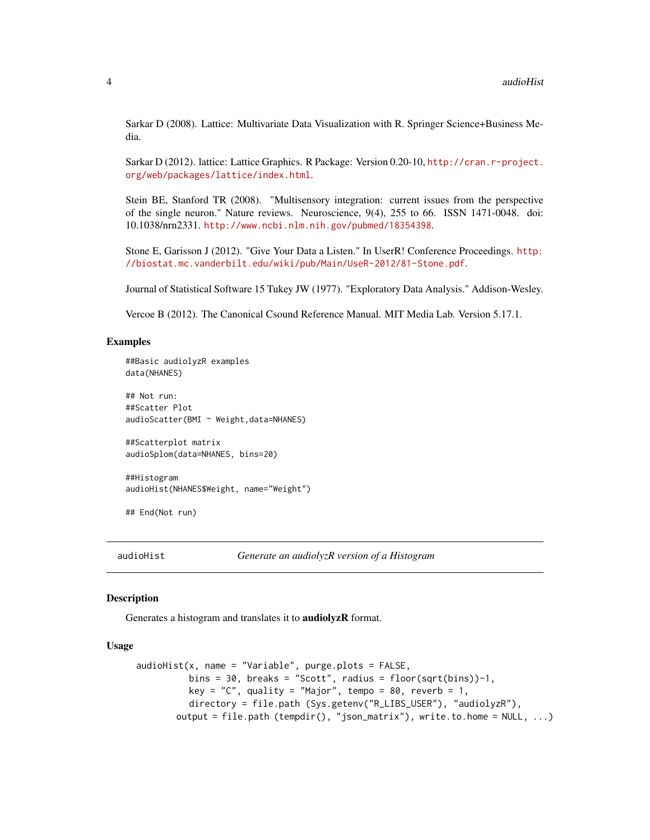<span id="page-3-0"></span>Sarkar D (2008). Lattice: Multivariate Data Visualization with R. Springer Science+Business Media.

Sarkar D (2012). lattice: Lattice Graphics. R Package: Version 0.20-10, [http://cran.r-project.](http://cran. r-project.org/web/packages/lattice/index.html) [org/web/packages/lattice/index.html](http://cran. r-project.org/web/packages/lattice/index.html).

Stein BE, Stanford TR (2008). "Multisensory integration: current issues from the perspective of the single neuron." Nature reviews. Neuroscience, 9(4), 255 to 66. ISSN 1471-0048. doi: 10.1038/nrn2331. <http://www.ncbi.nlm.nih.gov/pubmed/18354398>.

Stone E, Garisson J (2012). "Give Your Data a Listen." In UserR! Conference Proceedings. [http:](http://biostat.mc.vanderbilt.edu/wiki/pub/Main/UseR-2012/81-Stone.pdf) [//biostat.mc.vanderbilt.edu/wiki/pub/Main/UseR-2012/81-Stone.pdf](http://biostat.mc.vanderbilt.edu/wiki/pub/Main/UseR-2012/81-Stone.pdf).

Journal of Statistical Software 15 Tukey JW (1977). "Exploratory Data Analysis." Addison-Wesley.

Vercoe B (2012). The Canonical Csound Reference Manual. MIT Media Lab. Version 5.17.1.

#### Examples

```
##Basic audiolyzR examples
data(NHANES)
## Not run:
##Scatter Plot
audioScatter(BMI ~ Weight,data=NHANES)
```
##Scatterplot matrix audioSplom(data=NHANES, bins=20)

##Histogram audioHist(NHANES\$Weight, name="Weight")

## End(Not run)

audioHist *Generate an audiolyzR version of a Histogram*

#### **Description**

Generates a histogram and translates it to audiolyzR format.

#### Usage

```
audioHist(x, name = "Variable", pure.plots = FALSE,bins = 30, breaks = "Scott", radius = floor(sqrt(bins))-1,
         key = "C", quality = "Major", tempo = 80, reverb = 1,
         directory = file.path (Sys.getenv("R_LIBS_USER"), "audiolyzR"),
       output = file.path (tempdir(), "json_matrix"), write.to.home = NULL, ...)
```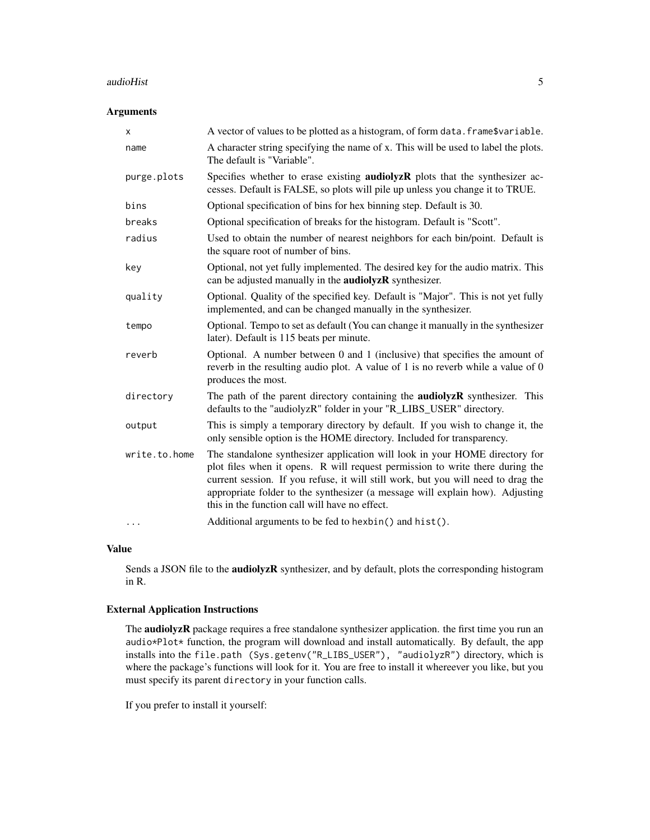#### audioHist 5

## Arguments

| X             | A vector of values to be plotted as a histogram, of form data. frame\$variable.                                                                                                                                                                                                                                                                                                      |
|---------------|--------------------------------------------------------------------------------------------------------------------------------------------------------------------------------------------------------------------------------------------------------------------------------------------------------------------------------------------------------------------------------------|
| name          | A character string specifying the name of x. This will be used to label the plots.<br>The default is "Variable".                                                                                                                                                                                                                                                                     |
| purge.plots   | Specifies whether to erase existing <b>audiolyzR</b> plots that the synthesizer ac-<br>cesses. Default is FALSE, so plots will pile up unless you change it to TRUE.                                                                                                                                                                                                                 |
| bins          | Optional specification of bins for hex binning step. Default is 30.                                                                                                                                                                                                                                                                                                                  |
| breaks        | Optional specification of breaks for the histogram. Default is "Scott".                                                                                                                                                                                                                                                                                                              |
| radius        | Used to obtain the number of nearest neighbors for each bin/point. Default is<br>the square root of number of bins.                                                                                                                                                                                                                                                                  |
| key           | Optional, not yet fully implemented. The desired key for the audio matrix. This<br>can be adjusted manually in the <b>audiolyzR</b> synthesizer.                                                                                                                                                                                                                                     |
| quality       | Optional. Quality of the specified key. Default is "Major". This is not yet fully<br>implemented, and can be changed manually in the synthesizer.                                                                                                                                                                                                                                    |
| tempo         | Optional. Tempo to set as default (You can change it manually in the synthesizer<br>later). Default is 115 beats per minute.                                                                                                                                                                                                                                                         |
| reverb        | Optional. A number between 0 and 1 (inclusive) that specifies the amount of<br>reverb in the resulting audio plot. A value of 1 is no reverb while a value of 0<br>produces the most.                                                                                                                                                                                                |
| directory     | The path of the parent directory containing the <b>audiolyzR</b> synthesizer. This<br>defaults to the "audiolyzR" folder in your "R_LIBS_USER" directory.                                                                                                                                                                                                                            |
| output        | This is simply a temporary directory by default. If you wish to change it, the<br>only sensible option is the HOME directory. Included for transparency.                                                                                                                                                                                                                             |
| write.to.home | The standalone synthesizer application will look in your HOME directory for<br>plot files when it opens. R will request permission to write there during the<br>current session. If you refuse, it will still work, but you will need to drag the<br>appropriate folder to the synthesizer (a message will explain how). Adjusting<br>this in the function call will have no effect. |
| .             | Additional arguments to be fed to hexbin() and hist().                                                                                                                                                                                                                                                                                                                               |

## Value

Sends a JSON file to the **audiolyzR** synthesizer, and by default, plots the corresponding histogram in R.

## External Application Instructions

The audiolyzR package requires a free standalone synthesizer application. the first time you run an audio\*Plot\* function, the program will download and install automatically. By default, the app installs into the file.path (Sys.getenv("R\_LIBS\_USER"), "audiolyzR") directory, which is where the package's functions will look for it. You are free to install it whereever you like, but you must specify its parent directory in your function calls.

If you prefer to install it yourself: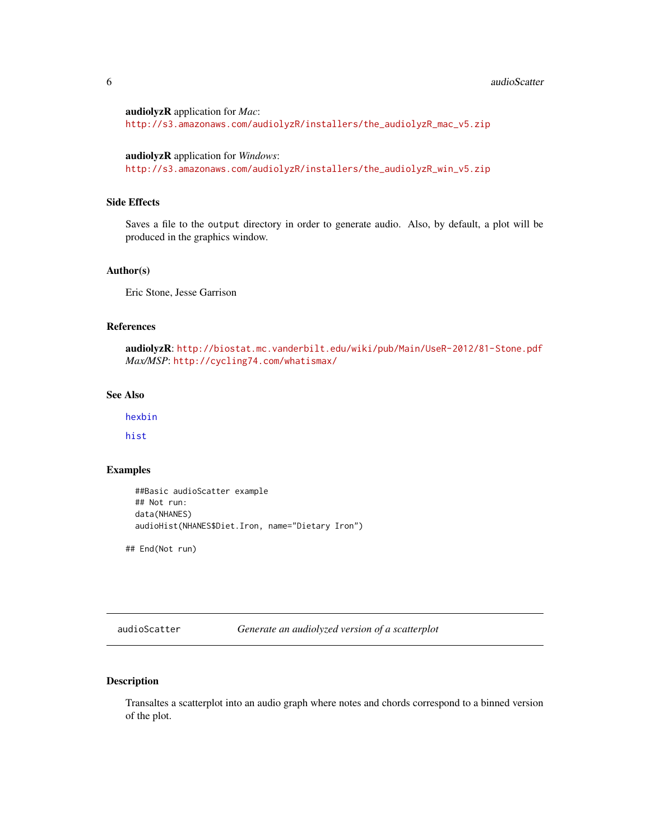#### <span id="page-5-0"></span>**6 b** audioScatter **b** audioScatter **b** audioScatter **b** audioScatter **b** audioScatter **b** audioScatter **b** audioScatter **b** audioScatter **b** audioScatter **b** audioScatter **b** audioScatter **b** audioScatter **b** audioScatt

audiolyzR application for *Mac*:

[http://s3.amazonaws.com/audiolyzR/installers/the\\_audiolyzR\\_mac\\_v5.zip](http://s3.amazonaws.com/audiolyzR/installers/the_audiolyzR_mac_v5.zip)

audiolyzR application for *Windows*: [http://s3.amazonaws.com/audiolyzR/installers/the\\_audiolyzR\\_win\\_v5.zip](http://s3.amazonaws.com/audiolyzR/installers/the_audiolyzR_win_v5.zip)

## Side Effects

Saves a file to the output directory in order to generate audio. Also, by default, a plot will be produced in the graphics window.

#### Author(s)

Eric Stone, Jesse Garrison

## References

audiolyzR: <http://biostat.mc.vanderbilt.edu/wiki/pub/Main/UseR-2012/81-Stone.pdf> *Max/MSP*: <http://cycling74.com/whatismax/>

#### See Also

[hexbin](#page-0-1)

[hist](#page-0-1)

#### Examples

```
##Basic audioScatter example
## Not run:
data(NHANES)
audioHist(NHANES$Diet.Iron, name="Dietary Iron")
```
## End(Not run)

audioScatter *Generate an audiolyzed version of a scatterplot*

## Description

Transaltes a scatterplot into an audio graph where notes and chords correspond to a binned version of the plot.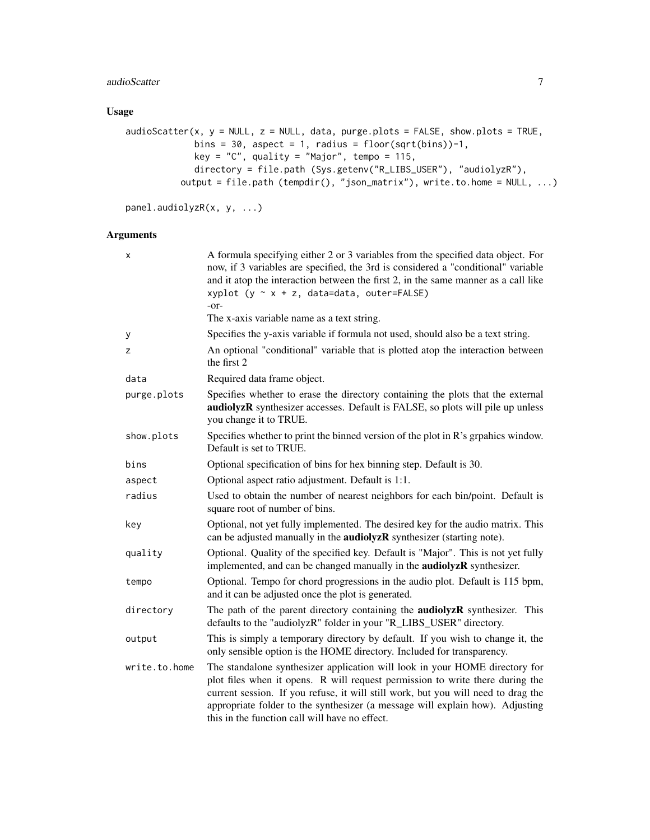## audioScatter 7

## Usage

```
adioscatter(x, y = NULL, z = NULL, data, pure.plots = FALSE, show plots = TRUE,bins = 30, aspect = 1, radius = floor(sqrt(bins))-1,
            key = "C", quality = "Major", tempo = 115,
            directory = file.path (Sys.getenv("R_LIBS_USER"), "audiolyzR"),
          output = file.path (tempdir(), "json_matrix"), write.to.home = NULL, ...)
```

```
panel.audiolyzR(x, y, ...)
```
## Arguments

| x             | A formula specifying either 2 or 3 variables from the specified data object. For<br>now, if 3 variables are specified, the 3rd is considered a "conditional" variable<br>and it atop the interaction between the first 2, in the same manner as a call like<br>xyplot ( $y \sim x + z$ , data=data, outer=FALSE)<br>$-0r-$<br>The x-axis variable name as a text string.             |
|---------------|--------------------------------------------------------------------------------------------------------------------------------------------------------------------------------------------------------------------------------------------------------------------------------------------------------------------------------------------------------------------------------------|
|               | Specifies the y-axis variable if formula not used, should also be a text string.                                                                                                                                                                                                                                                                                                     |
| у<br>z        | An optional "conditional" variable that is plotted atop the interaction between<br>the first 2                                                                                                                                                                                                                                                                                       |
| data          | Required data frame object.                                                                                                                                                                                                                                                                                                                                                          |
| purge.plots   | Specifies whether to erase the directory containing the plots that the external<br>audiolyzR synthesizer accesses. Default is FALSE, so plots will pile up unless<br>you change it to TRUE.                                                                                                                                                                                          |
| show.plots    | Specifies whether to print the binned version of the plot in R's grpahics window.<br>Default is set to TRUE.                                                                                                                                                                                                                                                                         |
| bins          | Optional specification of bins for hex binning step. Default is 30.                                                                                                                                                                                                                                                                                                                  |
| aspect        | Optional aspect ratio adjustment. Default is 1:1.                                                                                                                                                                                                                                                                                                                                    |
| radius        | Used to obtain the number of nearest neighbors for each bin/point. Default is<br>square root of number of bins.                                                                                                                                                                                                                                                                      |
| key           | Optional, not yet fully implemented. The desired key for the audio matrix. This<br>can be adjusted manually in the <b>audiolyzR</b> synthesizer (starting note).                                                                                                                                                                                                                     |
| quality       | Optional. Quality of the specified key. Default is "Major". This is not yet fully<br>implemented, and can be changed manually in the <b>audiolyzR</b> synthesizer.                                                                                                                                                                                                                   |
| tempo         | Optional. Tempo for chord progressions in the audio plot. Default is 115 bpm,<br>and it can be adjusted once the plot is generated.                                                                                                                                                                                                                                                  |
| directory     | The path of the parent directory containing the <b>audiolyzR</b> synthesizer. This<br>defaults to the "audiolyzR" folder in your "R_LIBS_USER" directory.                                                                                                                                                                                                                            |
| output        | This is simply a temporary directory by default. If you wish to change it, the<br>only sensible option is the HOME directory. Included for transparency.                                                                                                                                                                                                                             |
| write.to.home | The standalone synthesizer application will look in your HOME directory for<br>plot files when it opens. R will request permission to write there during the<br>current session. If you refuse, it will still work, but you will need to drag the<br>appropriate folder to the synthesizer (a message will explain how). Adjusting<br>this in the function call will have no effect. |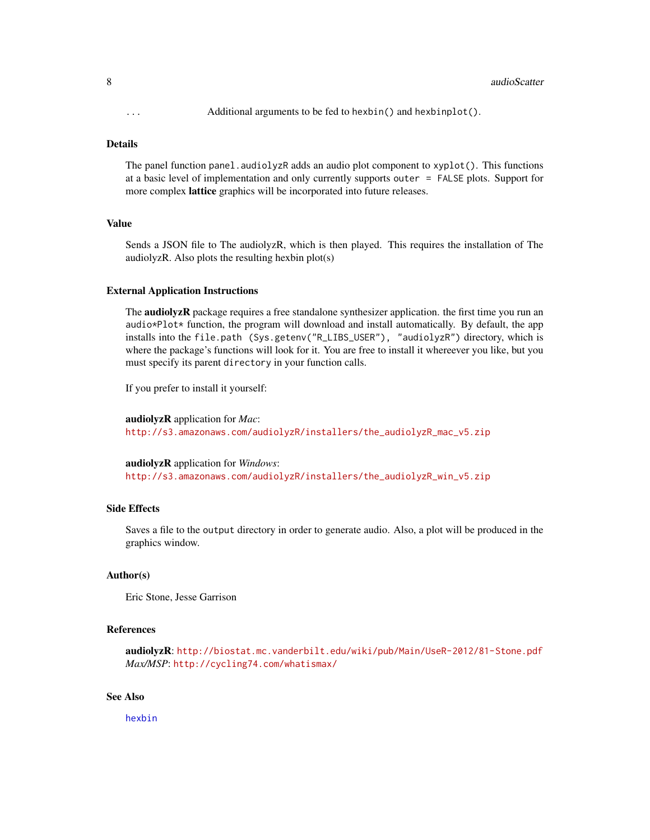#### <span id="page-7-0"></span>Details

The panel function panel.audiolyzR adds an audio plot component to xyplot(). This functions at a basic level of implementation and only currently supports outer = FALSE plots. Support for more complex lattice graphics will be incorporated into future releases.

#### Value

Sends a JSON file to The audiolyzR, which is then played. This requires the installation of The audiolyzR. Also plots the resulting hexbin plot(s)

#### External Application Instructions

The **audiolyzR** package requires a free standalone synthesizer application. the first time you run an audio $*$ Plot $*$  function, the program will download and install automatically. By default, the app installs into the file.path (Sys.getenv("R\_LIBS\_USER"), "audiolyzR") directory, which is where the package's functions will look for it. You are free to install it whereever you like, but you must specify its parent directory in your function calls.

If you prefer to install it yourself:

```
audiolyzR application for Mac:
http://s3.amazonaws.com/audiolyzR/installers/the_audiolyzR_mac_v5.zip
```
audiolyzR application for *Windows*: [http://s3.amazonaws.com/audiolyzR/installers/the\\_audiolyzR\\_win\\_v5.zip](http://s3.amazonaws.com/audiolyzR/installers/the_audiolyzR_win_v5.zip)

## Side Effects

Saves a file to the output directory in order to generate audio. Also, a plot will be produced in the graphics window.

#### Author(s)

Eric Stone, Jesse Garrison

#### References

```
audiolyzR: http://biostat.mc.vanderbilt.edu/wiki/pub/Main/UseR-2012/81-Stone.pdf
Max/MSP: http://cycling74.com/whatismax/
```
#### See Also

[hexbin](#page-0-1)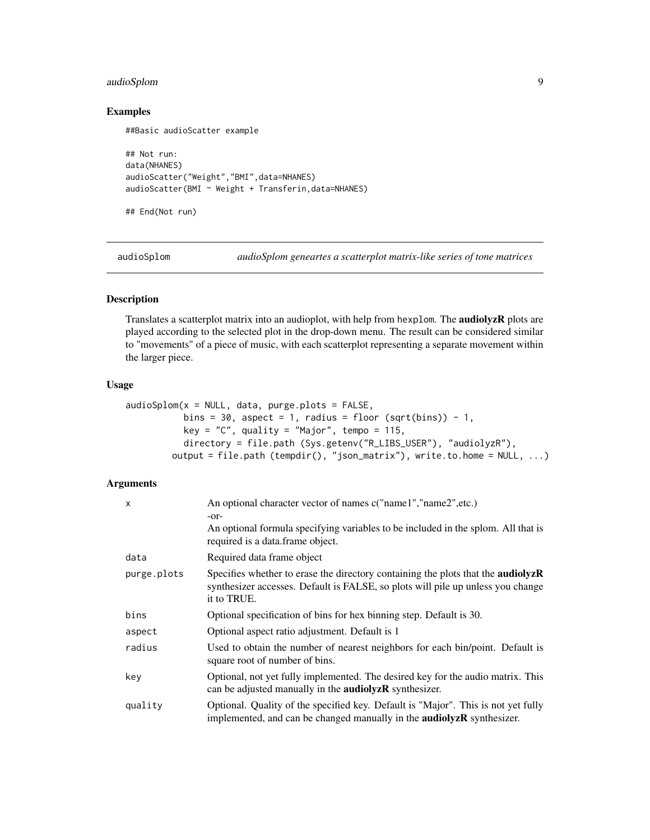## <span id="page-8-0"></span>audioSplom 9

#### Examples

##Basic audioScatter example

```
## Not run:
data(NHANES)
audioScatter("Weight","BMI",data=NHANES)
audioScatter(BMI ~ Weight + Transferin, data=NHANES)
```
## End(Not run)

audioSplom *audioSplom geneartes a scatterplot matrix-like series of tone matrices*

#### Description

Translates a scatterplot matrix into an audioplot, with help from hexplom. The audiolyzR plots are played according to the selected plot in the drop-down menu. The result can be considered similar to "movements" of a piece of music, with each scatterplot representing a separate movement within the larger piece.

## Usage

```
audioSplom(x = NULL, data, purge.plots = FALSE,bins = 30, aspect = 1, radius = floor (sqrt(bins)) - 1,
          key = "C", quality = "Major", tempo = 115,
          directory = file.path (Sys.getenv("R_LIBS_USER"), "audiolyzR"),
        output = file.path (tempdir(), "json_matrix"), write.to.home = NULL, ...)
```
## Arguments

| $\mathsf{x}$ | An optional character vector of names c("name1","name2",etc.)<br>$-0r-$                                                                                                            |
|--------------|------------------------------------------------------------------------------------------------------------------------------------------------------------------------------------|
|              | An optional formula specifying variables to be included in the splom. All that is<br>required is a data.frame object.                                                              |
| data         | Required data frame object                                                                                                                                                         |
| purge.plots  | Specifies whether to erase the directory containing the plots that the audiolyzR<br>synthesizer accesses. Default is FALSE, so plots will pile up unless you change<br>it to TRUE. |
| bins         | Optional specification of bins for hex binning step. Default is 30.                                                                                                                |
| aspect       | Optional aspect ratio adjustment. Default is 1                                                                                                                                     |
| radius       | Used to obtain the number of nearest neighbors for each bin/point. Default is<br>square root of number of bins.                                                                    |
| key          | Optional, not yet fully implemented. The desired key for the audio matrix. This<br>can be adjusted manually in the <b>audiolyzR</b> synthesizer.                                   |
| quality      | Optional. Quality of the specified key. Default is "Major". This is not yet fully<br>implemented, and can be changed manually in the <b>audiolyzR</b> synthesizer.                 |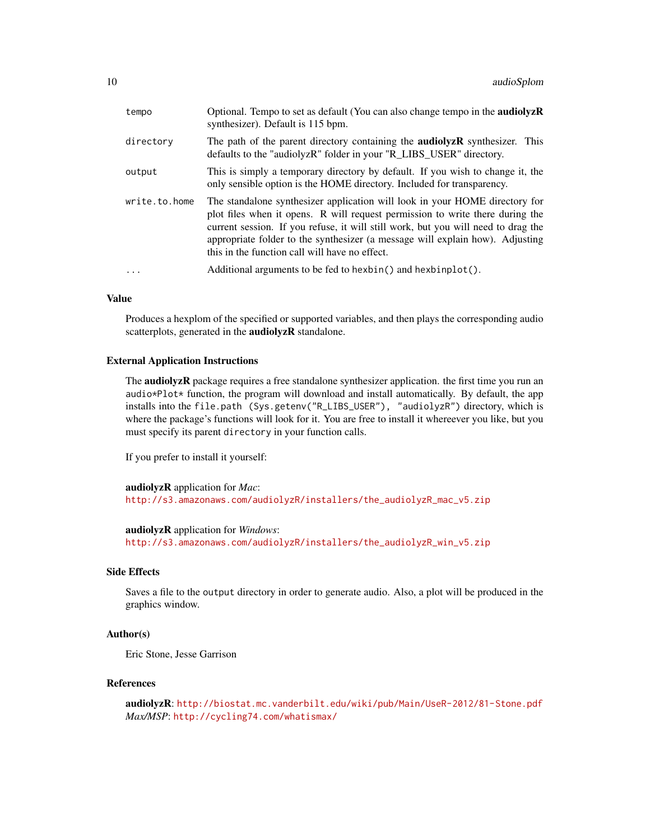| tempo         | Optional. Tempo to set as default (You can also change tempo in the <b>audiolyzR</b><br>synthesizer). Default is 115 bpm.                                                                                                                                                                                                                                                            |
|---------------|--------------------------------------------------------------------------------------------------------------------------------------------------------------------------------------------------------------------------------------------------------------------------------------------------------------------------------------------------------------------------------------|
| directory     | The path of the parent directory containing the <b>audiolyzR</b> synthesizer. This<br>defaults to the "audiolyzR" folder in your "R_LIBS_USER" directory.                                                                                                                                                                                                                            |
| output        | This is simply a temporary directory by default. If you wish to change it, the<br>only sensible option is the HOME directory. Included for transparency.                                                                                                                                                                                                                             |
| write.to.home | The standalone synthesizer application will look in your HOME directory for<br>plot files when it opens. R will request permission to write there during the<br>current session. If you refuse, it will still work, but you will need to drag the<br>appropriate folder to the synthesizer (a message will explain how). Adjusting<br>this in the function call will have no effect. |
| $\cdot$       | Additional arguments to be fed to hexbin() and hexbinplot().                                                                                                                                                                                                                                                                                                                         |

## Value

Produces a hexplom of the specified or supported variables, and then plays the corresponding audio scatterplots, generated in the **audiolyzR** standalone.

#### External Application Instructions

The **audiolyzR** package requires a free standalone synthesizer application. the first time you run an audio\*Plot\* function, the program will download and install automatically. By default, the app installs into the file.path (Sys.getenv("R\_LIBS\_USER"), "audiolyzR") directory, which is where the package's functions will look for it. You are free to install it whereever you like, but you must specify its parent directory in your function calls.

If you prefer to install it yourself:

audiolyzR application for *Mac*: [http://s3.amazonaws.com/audiolyzR/installers/the\\_audiolyzR\\_mac\\_v5.zip](http://s3.amazonaws.com/audiolyzR/installers/the_audiolyzR_mac_v5.zip)

audiolyzR application for *Windows*: [http://s3.amazonaws.com/audiolyzR/installers/the\\_audiolyzR\\_win\\_v5.zip](http://s3.amazonaws.com/audiolyzR/installers/the_audiolyzR_win_v5.zip)

## Side Effects

Saves a file to the output directory in order to generate audio. Also, a plot will be produced in the graphics window.

## Author(s)

Eric Stone, Jesse Garrison

## References

```
audiolyzR: http://biostat.mc.vanderbilt.edu/wiki/pub/Main/UseR-2012/81-Stone.pdf
Max/MSP: http://cycling74.com/whatismax/
```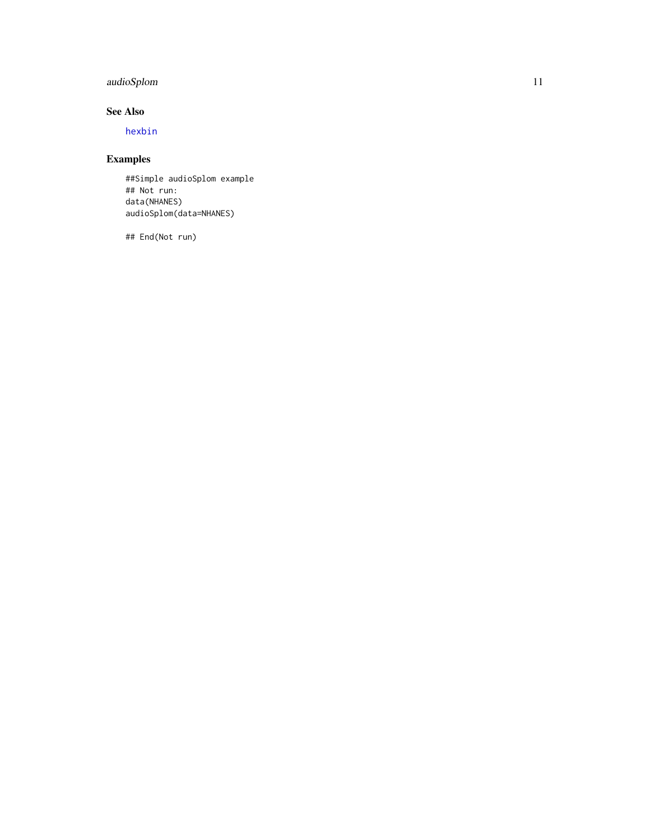## <span id="page-10-0"></span>audioSplom 11

## See Also

[hexbin](#page-0-1)

## Examples

##Simple audioSplom example ## Not run: data(NHANES) audioSplom(data=NHANES)

## End(Not run)